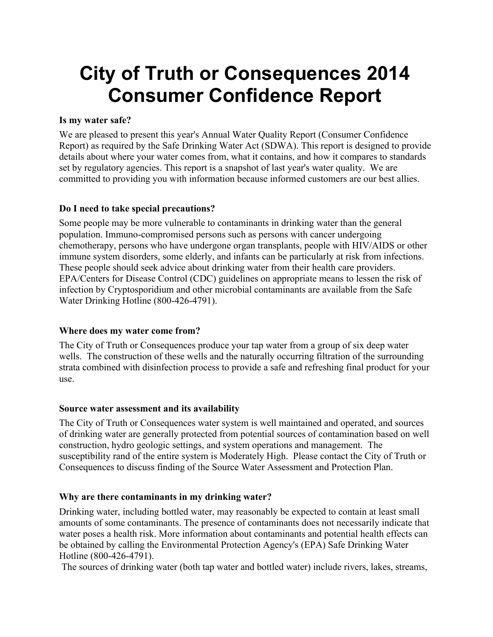# **City of Truth or Consequences 2014 Consumer Confidence Report**

#### **Is my water safe?**

We are pleased to present this year's Annual Water Quality Report (Consumer Confidence Report) as required by the Safe Drinking Water Act (SDWA). This report is designed to provide details about where your water comes from, what it contains, and how it compares to standards set by regulatory agencies. This report is a snapshot of last year's water quality. We are committed to providing you with information because informed customers are our best allies.

### **Do I need to take special precautions?**

Some people may be more vulnerable to contaminants in drinking water than the general population. Immuno-compromised persons such as persons with cancer undergoing chemotherapy, persons who have undergone organ transplants, people with HIV/AIDS or other immune system disorders, some elderly, and infants can be particularly at risk from infections. These people should seek advice about drinking water from their health care providers. EPA/Centers for Disease Control (CDC) guidelines on appropriate means to lessen the risk of infection by Cryptosporidium and other microbial contaminants are available from the Safe Water Drinking Hotline (800-426-4791).

#### **Where does my water come from?**

The City of Truth or Consequences produce your tap water from a group of six deep water wells. The construction of these wells and the naturally occurring filtration of the surrounding strata combined with disinfection process to provide a safe and refreshing final product for your use.

#### **Source water assessment and its availability**

The City of Truth or Consequences water system is well maintained and operated, and sources of drinking water are generally protected from potential sources of contamination based on well construction, hydro geologic settings, and system operations and management. The susceptibility rand of the entire system is Moderately High. Please contact the City of Truth or Consequences to discuss finding of the Source Water Assessment and Protection Plan.

### **Why are there contaminants in my drinking water?**

Drinking water, including bottled water, may reasonably be expected to contain at least small amounts of some contaminants. The presence of contaminants does not necessarily indicate that water poses a health risk. More information about contaminants and potential health effects can be obtained by calling the Environmental Protection Agency's (EPA) Safe Drinking Water Hotline (800-426-4791).

The sources of drinking water (both tap water and bottled water) include rivers, lakes, streams,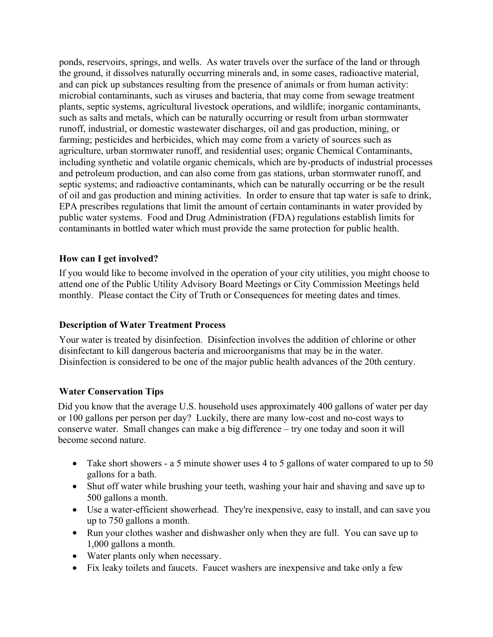ponds, reservoirs, springs, and wells. As water travels over the surface of the land or through the ground, it dissolves naturally occurring minerals and, in some cases, radioactive material, and can pick up substances resulting from the presence of animals or from human activity: microbial contaminants, such as viruses and bacteria, that may come from sewage treatment plants, septic systems, agricultural livestock operations, and wildlife; inorganic contaminants, such as salts and metals, which can be naturally occurring or result from urban stormwater runoff, industrial, or domestic wastewater discharges, oil and gas production, mining, or farming; pesticides and herbicides, which may come from a variety of sources such as agriculture, urban stormwater runoff, and residential uses; organic Chemical Contaminants, including synthetic and volatile organic chemicals, which are by-products of industrial processes and petroleum production, and can also come from gas stations, urban stormwater runoff, and septic systems; and radioactive contaminants, which can be naturally occurring or be the result of oil and gas production and mining activities. In order to ensure that tap water is safe to drink, EPA prescribes regulations that limit the amount of certain contaminants in water provided by public water systems. Food and Drug Administration (FDA) regulations establish limits for contaminants in bottled water which must provide the same protection for public health.

### **How can I get involved?**

If you would like to become involved in the operation of your city utilities, you might choose to attend one of the Public Utility Advisory Board Meetings or City Commission Meetings held monthly. Please contact the City of Truth or Consequences for meeting dates and times.

### **Description of Water Treatment Process**

Your water is treated by disinfection. Disinfection involves the addition of chlorine or other disinfectant to kill dangerous bacteria and microorganisms that may be in the water. Disinfection is considered to be one of the major public health advances of the 20th century.

### **Water Conservation Tips**

Did you know that the average U.S. household uses approximately 400 gallons of water per day or 100 gallons per person per day? Luckily, there are many low-cost and no-cost ways to conserve water. Small changes can make a big difference – try one today and soon it will become second nature.

- Take short showers a 5 minute shower uses 4 to 5 gallons of water compared to up to 50 gallons for a bath.
- Shut off water while brushing your teeth, washing your hair and shaving and save up to 500 gallons a month.
- · Use a water-efficient showerhead. They're inexpensive, easy to install, and can save you up to 750 gallons a month.
- Run your clothes washer and dishwasher only when they are full. You can save up to 1,000 gallons a month.
- Water plants only when necessary.
- · Fix leaky toilets and faucets. Faucet washers are inexpensive and take only a few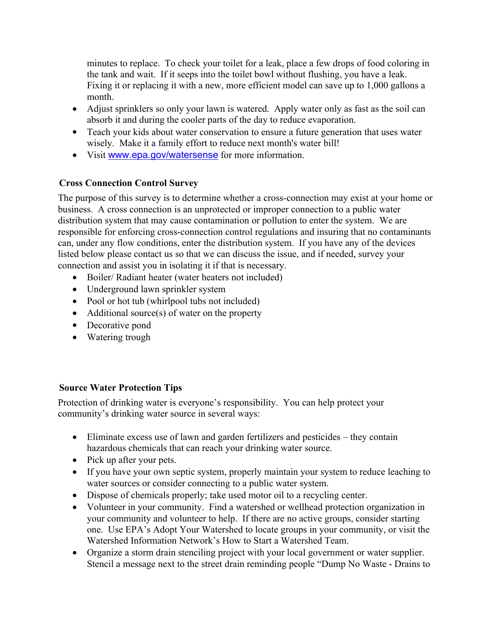minutes to replace. To check your toilet for a leak, place a few drops of food coloring in the tank and wait. If it seeps into the toilet bowl without flushing, you have a leak. Fixing it or replacing it with a new, more efficient model can save up to 1,000 gallons a month.

- Adjust sprinklers so only your lawn is watered. Apply water only as fast as the soil can absorb it and during the cooler parts of the day to reduce evaporation.
- Teach your kids about water conservation to ensure a future generation that uses water wisely. Make it a family effort to reduce next month's water bill!
- · Visit www.epa.gov/watersense for more information.

# **Cross Connection Control Survey**

The purpose of this survey is to determine whether a cross-connection may exist at your home or business. A cross connection is an unprotected or improper connection to a public water distribution system that may cause contamination or pollution to enter the system. We are responsible for enforcing cross-connection control regulations and insuring that no contaminants can, under any flow conditions, enter the distribution system. If you have any of the devices listed below please contact us so that we can discuss the issue, and if needed, survey your connection and assist you in isolating it if that is necessary.

- Boiler/ Radiant heater (water heaters not included)
- Underground lawn sprinkler system
- Pool or hot tub (whirlpool tubs not included)
- Additional source(s) of water on the property
- Decorative pond
- Watering trough

### **Source Water Protection Tips**

Protection of drinking water is everyone's responsibility. You can help protect your community's drinking water source in several ways:

- · Eliminate excess use of lawn and garden fertilizers and pesticides they contain hazardous chemicals that can reach your drinking water source.
- Pick up after your pets.
- · If you have your own septic system, properly maintain your system to reduce leaching to water sources or consider connecting to a public water system.
- · Dispose of chemicals properly; take used motor oil to a recycling center.
- · Volunteer in your community. Find a watershed or wellhead protection organization in your community and volunteer to help. If there are no active groups, consider starting one. Use EPA's Adopt Your Watershed to locate groups in your community, or visit the Watershed Information Network's How to Start a Watershed Team.
- · Organize a storm drain stenciling project with your local government or water supplier. Stencil a message next to the street drain reminding people "Dump No Waste - Drains to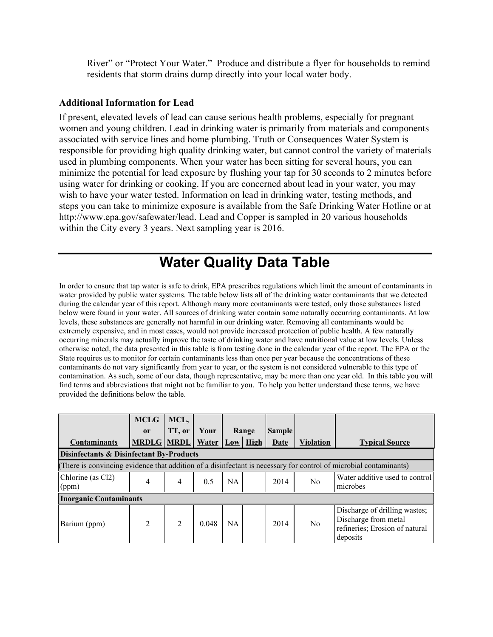River" or "Protect Your Water." Produce and distribute a flyer for households to remind residents that storm drains dump directly into your local water body.

#### **Additional Information for Lead**

If present, elevated levels of lead can cause serious health problems, especially for pregnant women and young children. Lead in drinking water is primarily from materials and components associated with service lines and home plumbing. Truth or Consequences Water System is responsible for providing high quality drinking water, but cannot control the variety of materials used in plumbing components. When your water has been sitting for several hours, you can minimize the potential for lead exposure by flushing your tap for 30 seconds to 2 minutes before using water for drinking or cooking. If you are concerned about lead in your water, you may wish to have your water tested. Information on lead in drinking water, testing methods, and steps you can take to minimize exposure is available from the Safe Drinking Water Hotline or at http://www.epa.gov/safewater/lead. Lead and Copper is sampled in 20 various households within the City every 3 years. Next sampling year is 2016.

# **Water Quality Data Table**

In order to ensure that tap water is safe to drink, EPA prescribes regulations which limit the amount of contaminants in water provided by public water systems. The table below lists all of the drinking water contaminants that we detected during the calendar year of this report. Although many more contaminants were tested, only those substances listed below were found in your water. All sources of drinking water contain some naturally occurring contaminants. At low levels, these substances are generally not harmful in our drinking water. Removing all contaminants would be extremely expensive, and in most cases, would not provide increased protection of public health. A few naturally occurring minerals may actually improve the taste of drinking water and have nutritional value at low levels. Unless otherwise noted, the data presented in this table is from testing done in the calendar year of the report. The EPA or the State requires us to monitor for certain contaminants less than once per year because the concentrations of these contaminants do not vary significantly from year to year, or the system is not considered vulnerable to this type of contamination. As such, some of our data, though representative, may be more than one year old. In this table you will find terms and abbreviations that might not be familiar to you. To help you better understand these terms, we have provided the definitions below the table.

|                                                     | <b>MCLG</b>    | MCL,           |                   |           |            |               |                  |                                                                                                                   |
|-----------------------------------------------------|----------------|----------------|-------------------|-----------|------------|---------------|------------------|-------------------------------------------------------------------------------------------------------------------|
|                                                     | <sub>or</sub>  | TT, or         | Your              |           | Range      | <b>Sample</b> |                  |                                                                                                                   |
| <b>Contaminants</b>                                 | <b>MRDLG</b>   |                | <b>MRDL</b> Water |           | $Low$ High | <b>Date</b>   | <b>Violation</b> | <b>Typical Source</b>                                                                                             |
| <b>Disinfectants &amp; Disinfectant By-Products</b> |                |                |                   |           |            |               |                  |                                                                                                                   |
|                                                     |                |                |                   |           |            |               |                  | (There is convincing evidence that addition of a disinfectant is necessary for control of microbial contaminants) |
| Chlorine (as Cl <sub>2</sub> )<br>(ppm)             | 4              | 4              | 0.5               | <b>NA</b> |            | 2014          | N <sub>0</sub>   | Water additive used to control<br>microbes                                                                        |
| <b>Inorganic Contaminants</b>                       |                |                |                   |           |            |               |                  |                                                                                                                   |
| Barium (ppm)                                        | $\mathfrak{D}$ | $\mathfrak{D}$ | 0.048             | <b>NA</b> |            | 2014          | N <sub>0</sub>   | Discharge of drilling wastes;<br>Discharge from metal<br>refineries; Erosion of natural<br>deposits               |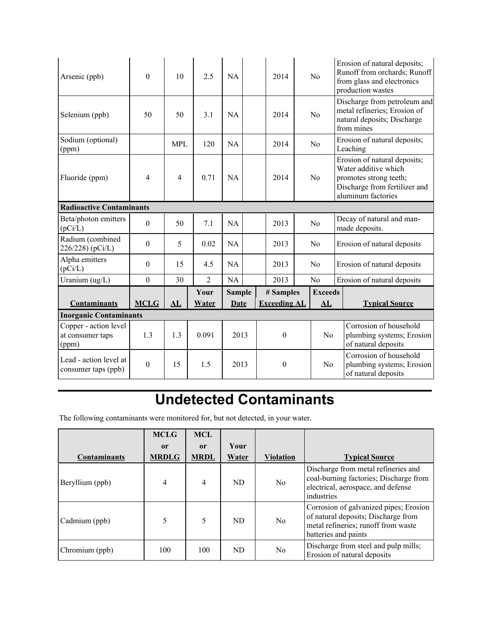| Arsenic (ppb)                                      | $\theta$         | 10         | 2.5            | NA            |  |          | 2014                |                | N <sub>0</sub>                                                             | Erosion of natural deposits;<br>Runoff from orchards; Runoff<br>from glass and electronics<br>production wastes                       |
|----------------------------------------------------|------------------|------------|----------------|---------------|--|----------|---------------------|----------------|----------------------------------------------------------------------------|---------------------------------------------------------------------------------------------------------------------------------------|
| Selenium (ppb)                                     | 50               | 50         | 3.1            | NA            |  |          | 2014                |                | N <sub>0</sub>                                                             | Discharge from petroleum and<br>metal refineries; Erosion of<br>natural deposits; Discharge<br>from mines                             |
| Sodium (optional)<br>(ppm)                         |                  | <b>MPL</b> | 120            | NA            |  |          | 2014                |                | No                                                                         | Erosion of natural deposits;<br>Leaching                                                                                              |
| Fluoride (ppm)                                     | 4                | 4          | 0.71           | <b>NA</b>     |  |          | 2014                |                | N <sub>0</sub>                                                             | Erosion of natural deposits;<br>Water additive which<br>promotes strong teeth;<br>Discharge from fertilizer and<br>aluminum factories |
| <b>Radioactive Contaminants</b>                    |                  |            |                |               |  |          |                     |                |                                                                            |                                                                                                                                       |
| Beta/photon emitters<br>(pCi/L)                    | $\theta$         | 50         | 7.1            |               |  |          | 2013                |                | No                                                                         | Decay of natural and man-<br>made deposits.                                                                                           |
| Radium (combined<br>226/228) (pCi/L)               | $\theta$         | 5          | 0.02           | <b>NA</b>     |  |          | 2013<br>No          |                |                                                                            | Erosion of natural deposits                                                                                                           |
| Alpha emitters<br>(pCi/L)                          | $\theta$         | 15         | 4.5            | NA            |  | 2013     |                     | N <sub>0</sub> | Erosion of natural deposits                                                |                                                                                                                                       |
| Uranium (ug/L)                                     | $\boldsymbol{0}$ | 30         | $\overline{2}$ | <b>NA</b>     |  |          | 2013                |                | N <sub>o</sub>                                                             | Erosion of natural deposits                                                                                                           |
|                                                    |                  |            | Your           | <b>Sample</b> |  |          | # Samples           |                | <b>Exceeds</b>                                                             |                                                                                                                                       |
| <b>Contaminants</b>                                | <b>MCLG</b>      | AL         | <b>Water</b>   | <b>Date</b>   |  |          | <b>Exceeding AL</b> |                | AL                                                                         | <b>Typical Source</b>                                                                                                                 |
| <b>Inorganic Contaminants</b>                      |                  |            |                |               |  |          |                     |                |                                                                            |                                                                                                                                       |
| Copper - action level<br>at consumer taps<br>(ppm) | 1.3              | 1.3        | 0.091          | 2013          |  |          | $\theta$            |                | N <sub>0</sub>                                                             | Corrosion of household<br>plumbing systems; Erosion<br>of natural deposits                                                            |
| Lead - action level at<br>consumer taps (ppb)      | $\theta$         | 15         | 1.5            | 2013          |  | $\theta$ |                     | N <sub>0</sub> | Corrosion of household<br>plumbing systems; Erosion<br>of natural deposits |                                                                                                                                       |

# **Undetected Contaminants**

The following contaminants were monitored for, but not detected, in your water.

|                     | <b>MCLG</b>  | <b>MCL</b>    |       |                  |                                                                                                                                              |
|---------------------|--------------|---------------|-------|------------------|----------------------------------------------------------------------------------------------------------------------------------------------|
|                     | $\mathbf{r}$ | <sub>or</sub> | Your  |                  |                                                                                                                                              |
| <b>Contaminants</b> | <b>MRDLG</b> | <b>MRDL</b>   | Water | <b>Violation</b> | <b>Typical Source</b>                                                                                                                        |
| Beryllium (ppb)     | 4            | 4             | ND    | No.              | Discharge from metal refineries and<br>coal-burning factories; Discharge from<br>electrical, aerospace, and defense<br>industries            |
| Cadmium (ppb)       |              | 5             | ND    | No.              | Corrosion of galvanized pipes; Erosion<br>of natural deposits; Discharge from<br>metal refineries; runoff from waste<br>batteries and paints |
| Chromium (ppb)      | 100          | 100           | ND.   | No               | Discharge from steel and pulp mills;<br>Erosion of natural deposits                                                                          |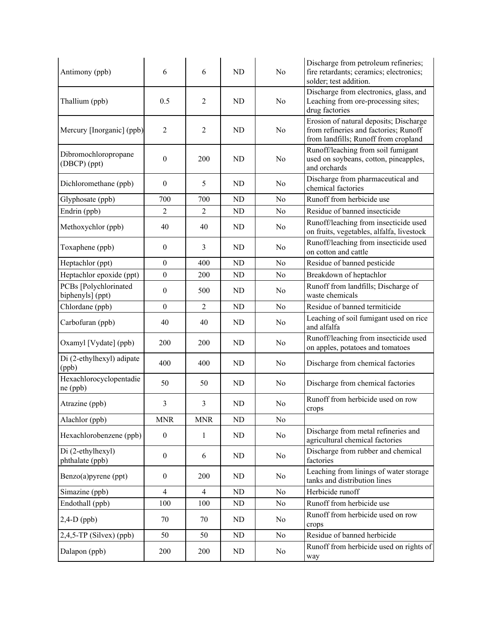| Antimony (ppb)                            | 6                | 6              | <b>ND</b>      | No             | Discharge from petroleum refineries;<br>fire retardants; ceramics; electronics;<br>solder; test addition.               |
|-------------------------------------------|------------------|----------------|----------------|----------------|-------------------------------------------------------------------------------------------------------------------------|
| Thallium (ppb)                            | 0.5              | $\overline{2}$ | <b>ND</b>      | No             | Discharge from electronics, glass, and<br>Leaching from ore-processing sites;<br>drug factories                         |
| Mercury [Inorganic] (ppb)                 | $\overline{2}$   | $\overline{2}$ | <b>ND</b>      | No             | Erosion of natural deposits; Discharge<br>from refineries and factories; Runoff<br>from landfills; Runoff from cropland |
| Dibromochloropropane<br>(DBCP) (ppt)      | $\boldsymbol{0}$ | 200            | <b>ND</b>      | No             | Runoff/leaching from soil fumigant<br>used on soybeans, cotton, pineapples,<br>and orchards                             |
| Dichloromethane (ppb)                     | $\boldsymbol{0}$ | 5              | <b>ND</b>      | No             | Discharge from pharmaceutical and<br>chemical factories                                                                 |
| Glyphosate (ppb)                          | 700              | 700            | N <sub>D</sub> | No             | Runoff from herbicide use                                                                                               |
| Endrin (ppb)                              | $\overline{2}$   | $\overline{2}$ | <b>ND</b>      | No             | Residue of banned insecticide                                                                                           |
| Methoxychlor (ppb)                        | 40               | 40             | N <sub>D</sub> | No             | Runoff/leaching from insecticide used<br>on fruits, vegetables, alfalfa, livestock                                      |
| Toxaphene (ppb)                           | $\boldsymbol{0}$ | 3              | <b>ND</b>      | No             | Runoff/leaching from insecticide used<br>on cotton and cattle                                                           |
| Heptachlor (ppt)                          | $\boldsymbol{0}$ | 400            | <b>ND</b>      | No             | Residue of banned pesticide                                                                                             |
| Heptachlor epoxide (ppt)                  | $\boldsymbol{0}$ | 200            | <b>ND</b>      | No             | Breakdown of heptachlor                                                                                                 |
| PCBs [Polychlorinated<br>biphenyls] (ppt) | $\boldsymbol{0}$ | 500            | <b>ND</b>      | N <sub>0</sub> | Runoff from landfills; Discharge of<br>waste chemicals                                                                  |
| Chlordane (ppb)                           | $\boldsymbol{0}$ | $\overline{2}$ | <b>ND</b>      | N <sub>0</sub> | Residue of banned termiticide                                                                                           |
| Carbofuran (ppb)                          | 40               | 40             | <b>ND</b>      | No             | Leaching of soil fumigant used on rice<br>and alfalfa                                                                   |
| Oxamyl [Vydate] (ppb)                     | 200              | 200            | <b>ND</b>      | No             | Runoff/leaching from insecticide used<br>on apples, potatoes and tomatoes                                               |
| Di (2-ethylhexyl) adipate<br>(ppb)        | 400              | 400            | <b>ND</b>      | N <sub>0</sub> | Discharge from chemical factories                                                                                       |
| Hexachlorocyclopentadie<br>ne (ppb)       | 50               | 50             | ND             | No             | Discharge from chemical factories                                                                                       |
| Atrazine (ppb)                            | 3                | 3              | <b>ND</b>      | No             | Runoff from herbicide used on row<br>crops                                                                              |
| Alachlor (ppb)                            | <b>MNR</b>       | <b>MNR</b>     | ND             | No             |                                                                                                                         |
| Hexachlorobenzene (ppb)                   | $\boldsymbol{0}$ | 1              | ND             | N <sub>0</sub> | Discharge from metal refineries and<br>agricultural chemical factories                                                  |
| Di (2-ethylhexyl)<br>phthalate (ppb)      | $\boldsymbol{0}$ | 6              | ND             | No             | Discharge from rubber and chemical<br>factories                                                                         |
| Benzo(a)pyrene (ppt)                      | $\boldsymbol{0}$ | 200            | ND             | No             | Leaching from linings of water storage<br>tanks and distribution lines                                                  |
| Simazine (ppb)                            | $\overline{4}$   | $\overline{4}$ | ND             | No             | Herbicide runoff                                                                                                        |
| Endothall (ppb)                           | 100              | 100            | ND             | No             | Runoff from herbicide use                                                                                               |
| $2,4-D$ (ppb)                             | 70               | 70             | ND             | No             | Runoff from herbicide used on row<br>crops                                                                              |
| $2,4,5$ -TP (Silvex) (ppb)                | 50               | 50             | ND             | No             | Residue of banned herbicide                                                                                             |
| Dalapon (ppb)                             | 200              | 200            | ND             | No             | Runoff from herbicide used on rights of<br>way                                                                          |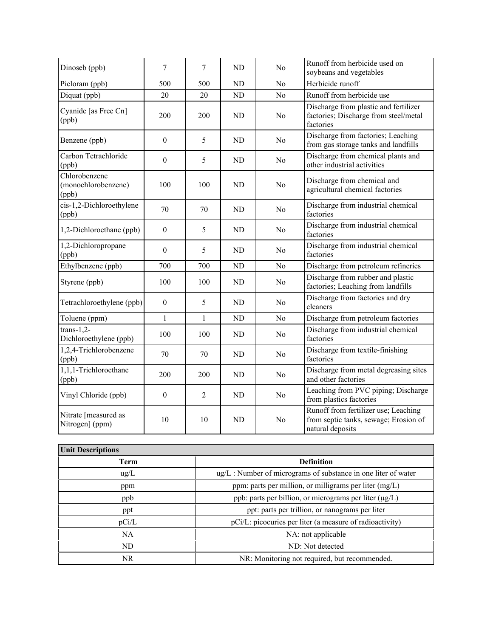| Dinoseb (ppb)                                 | 7                | 7              | <b>ND</b>      | No             | Runoff from herbicide used on<br>soybeans and vegetables                                          |
|-----------------------------------------------|------------------|----------------|----------------|----------------|---------------------------------------------------------------------------------------------------|
| Picloram (ppb)                                | 500              | 500            | <b>ND</b>      | N <sub>0</sub> | Herbicide runoff                                                                                  |
| Diquat (ppb)                                  | 20               | 20             | N <sub>D</sub> | No             | Runoff from herbicide use                                                                         |
| Cyanide [as Free Cn]<br>(ppb)                 | 200              | 200            | <b>ND</b>      | No             | Discharge from plastic and fertilizer<br>factories; Discharge from steel/metal<br>factories       |
| Benzene (ppb)                                 | $\boldsymbol{0}$ | 5              | <b>ND</b>      | No             | Discharge from factories; Leaching<br>from gas storage tanks and landfills                        |
| Carbon Tetrachloride<br>(ppb)                 | $\boldsymbol{0}$ | 5              | <b>ND</b>      | N <sub>0</sub> | Discharge from chemical plants and<br>other industrial activities                                 |
| Chlorobenzene<br>(monochlorobenzene)<br>(ppb) | 100              | 100            | <b>ND</b>      | No             | Discharge from chemical and<br>agricultural chemical factories                                    |
| cis-1,2-Dichloroethylene<br>(ppb)             | 70               | 70             | ND             | No             | Discharge from industrial chemical<br>factories                                                   |
| 1,2-Dichloroethane (ppb)                      | $\boldsymbol{0}$ | 5              | <b>ND</b>      | N <sub>0</sub> | Discharge from industrial chemical<br>factories                                                   |
| 1,2-Dichloropropane<br>(ppb)                  | $\boldsymbol{0}$ | 5              | N <sub>D</sub> | No             | Discharge from industrial chemical<br>factories                                                   |
| Ethylbenzene (ppb)                            | 700              | 700            | N <sub>D</sub> | No             | Discharge from petroleum refineries                                                               |
| Styrene (ppb)                                 | 100              | 100            | <b>ND</b>      | No             | Discharge from rubber and plastic<br>factories; Leaching from landfills                           |
| Tetrachloroethylene (ppb)                     | $\boldsymbol{0}$ | 5              | <b>ND</b>      | No             | Discharge from factories and dry<br>cleaners                                                      |
| Toluene (ppm)                                 | $\mathbf{1}$     | 1              | N <sub>D</sub> | No             | Discharge from petroleum factories                                                                |
| $trans-1,2-$<br>Dichloroethylene (ppb)        | 100              | 100            | <b>ND</b>      | No             | Discharge from industrial chemical<br>factories                                                   |
| 1,2,4-Trichlorobenzene<br>(ppb)               | 70               | 70             | <b>ND</b>      | No             | Discharge from textile-finishing<br>factories                                                     |
| 1,1,1-Trichloroethane<br>(ppb)                | 200              | 200            | <b>ND</b>      | No             | Discharge from metal degreasing sites<br>and other factories                                      |
| Vinyl Chloride (ppb)                          | $\boldsymbol{0}$ | $\overline{2}$ | <b>ND</b>      | No             | Leaching from PVC piping; Discharge<br>from plastics factories                                    |
| Nitrate [measured as<br>Nitrogen] (ppm)       | 10               | 10             | N <sub>D</sub> | No             | Runoff from fertilizer use; Leaching<br>from septic tanks, sewage; Erosion of<br>natural deposits |

| <b>Unit Descriptions</b> |                                                                     |
|--------------------------|---------------------------------------------------------------------|
| Term                     | <b>Definition</b>                                                   |
| $\text{ug/L}$            | $\mu$ g/L : Number of micrograms of substance in one liter of water |
| ppm                      | ppm: parts per million, or milligrams per liter (mg/L)              |
| ppb                      | ppb: parts per billion, or micrograms per liter $(\mu g/L)$         |
| ppt                      | ppt: parts per trillion, or nanograms per liter                     |
| pCi/L                    | pCi/L: picocuries per liter (a measure of radioactivity)            |
| NA                       | NA: not applicable                                                  |
| ND.                      | ND: Not detected                                                    |
| NR.                      | NR: Monitoring not required, but recommended.                       |